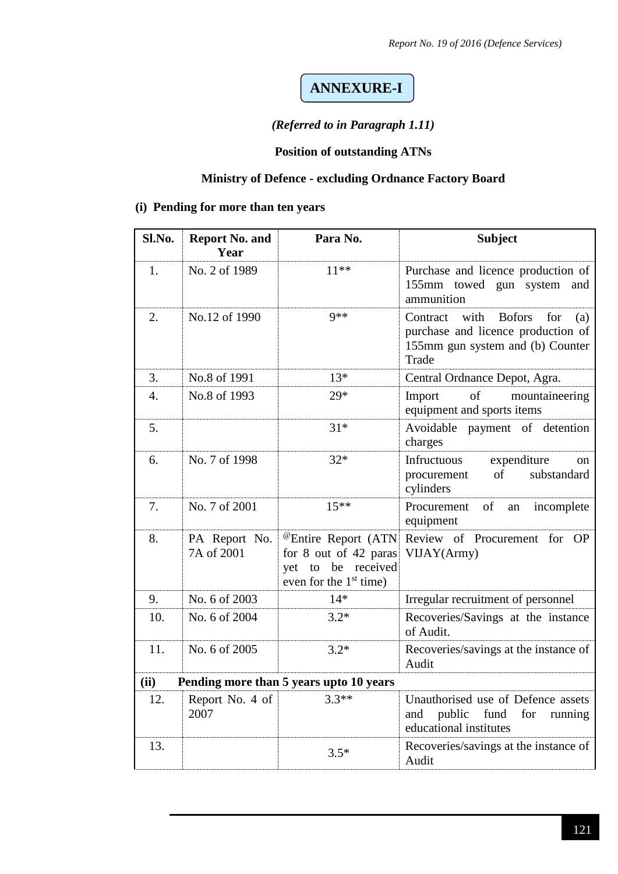### **ANNEXURE-I**

#### *(Referred to in Paragraph 1.11)*

#### **Position of outstanding ATNs**

### **Ministry of Defence - excluding Ordnance Factory Board**

#### **(i) Pending for more than ten years**

| Sl.No.           | <b>Report No. and</b><br>Year | Para No.                                                                                                   | <b>Subject</b>                                                                                                                     |
|------------------|-------------------------------|------------------------------------------------------------------------------------------------------------|------------------------------------------------------------------------------------------------------------------------------------|
| 1.               | No. 2 of 1989                 | $11***$                                                                                                    | Purchase and licence production of<br>155mm towed gun system and<br>ammunition                                                     |
| 2.               | No.12 of 1990                 | $9**$                                                                                                      | with<br><b>Bofors</b><br>Contract<br>for<br>(a)<br>purchase and licence production of<br>155mm gun system and (b) Counter<br>Trade |
| 3.               | No.8 of 1991                  | $13*$                                                                                                      | Central Ordnance Depot, Agra.                                                                                                      |
| $\overline{4}$ . | No.8 of 1993                  | 29*                                                                                                        | Import<br>of<br>mountaineering<br>equipment and sports items                                                                       |
| 5.               |                               | $31*$                                                                                                      | Avoidable payment of detention<br>charges                                                                                          |
| 6.               | No. 7 of 1998                 | $32*$                                                                                                      | Infructuous<br>expenditure<br>on<br>of<br>procurement<br>substandard<br>cylinders                                                  |
| 7.               | No. 7 of 2001                 | $15***$                                                                                                    | Procurement<br>of<br>incomplete<br>an<br>equipment                                                                                 |
| 8.               | PA Report No.<br>7A of 2001   | <sup>@</sup> Entire Report (ATN<br>for 8 out of 42 paras<br>yet to be received<br>even for the $1st$ time) | Review of Procurement for OP<br>VIJAY(Army)                                                                                        |
| 9.               | No. 6 of 2003                 | $14*$                                                                                                      | Irregular recruitment of personnel                                                                                                 |
| 10.              | No. 6 of 2004                 | $3.2*$                                                                                                     | Recoveries/Savings at the instance<br>of Audit.                                                                                    |
| 11.              | No. 6 of 2005                 | $3.2*$                                                                                                     | Recoveries/savings at the instance of<br>Audit                                                                                     |
| (ii)             |                               | Pending more than 5 years upto 10 years                                                                    |                                                                                                                                    |
| 12.              | Report No. 4 of<br>2007       | $3.3**$                                                                                                    | Unauthorised use of Defence assets<br>and<br>public<br>fund<br>for<br>running<br>educational institutes                            |
| 13.              |                               | $3.5*$                                                                                                     | Recoveries/savings at the instance of<br>Audit                                                                                     |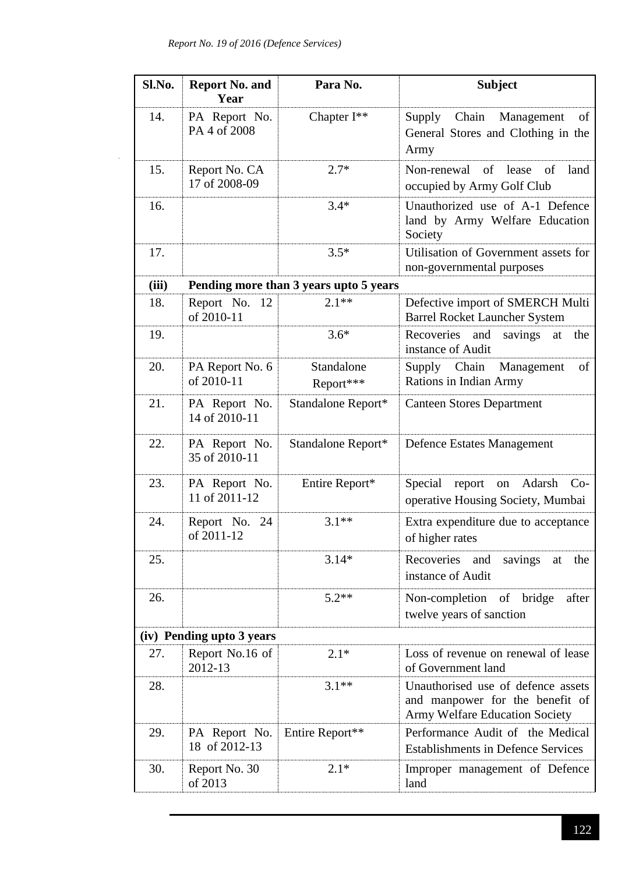| Sl.No. | <b>Report No. and</b><br>Year  | Para No.                               | <b>Subject</b>                                                                                          |
|--------|--------------------------------|----------------------------------------|---------------------------------------------------------------------------------------------------------|
| 14.    | PA Report No.<br>PA 4 of 2008  | Chapter I**                            | Supply Chain Management<br>of<br>General Stores and Clothing in the<br>Army                             |
| 15.    | Report No. CA<br>17 of 2008-09 | $2.7*$                                 | of lease<br>Non-renewal<br>of<br>land<br>occupied by Army Golf Club                                     |
| 16.    |                                | $3.4*$                                 | Unauthorized use of A-1 Defence<br>land by Army Welfare Education<br>Society                            |
| 17.    |                                | $3.5*$                                 | Utilisation of Government assets for<br>non-governmental purposes                                       |
| (iii)  |                                | Pending more than 3 years upto 5 years |                                                                                                         |
| 18.    | Report No.<br>12<br>of 2010-11 | $2.1**$                                | Defective import of SMERCH Multi<br><b>Barrel Rocket Launcher System</b>                                |
| 19.    |                                | $3.6*$                                 | Recoveries<br>and<br>savings<br>the<br>at<br>instance of Audit                                          |
| 20.    | PA Report No. 6<br>of 2010-11  | Standalone<br>Report***                | Supply Chain<br>Management<br>of<br>Rations in Indian Army                                              |
| 21.    | PA Report No.<br>14 of 2010-11 | Standalone Report*                     | <b>Canteen Stores Department</b>                                                                        |
| 22.    | PA Report No.<br>35 of 2010-11 | Standalone Report*                     | <b>Defence Estates Management</b>                                                                       |
| 23.    | PA Report No.<br>11 of 2011-12 | Entire Report*                         | Adarsh<br>Special<br>report<br>$Co-$<br>on<br>operative Housing Society, Mumbai                         |
| 24.    | Report No. 24<br>of 2011-12    | $3.1**$                                | Extra expenditure due to acceptance<br>of higher rates                                                  |
| 25.    |                                | $3.14*$                                | Recoveries<br>savings<br>the<br>and<br>at<br>instance of Audit                                          |
| 26.    |                                | $5.2**$                                | Non-completion of bridge<br>after<br>twelve years of sanction                                           |
|        | (iv) Pending upto 3 years      |                                        |                                                                                                         |
| 27.    | Report No.16 of<br>2012-13     | $2.1*$                                 | Loss of revenue on renewal of lease<br>of Government land                                               |
| 28.    |                                | $3.1**$                                | Unauthorised use of defence assets<br>and manpower for the benefit of<br>Army Welfare Education Society |
| 29.    | PA Report No.<br>18 of 2012-13 | Entire Report**                        | Performance Audit of the Medical<br><b>Establishments in Defence Services</b>                           |
| 30.    | Report No. 30<br>of 2013       | $2.1*$                                 | Improper management of Defence<br>land                                                                  |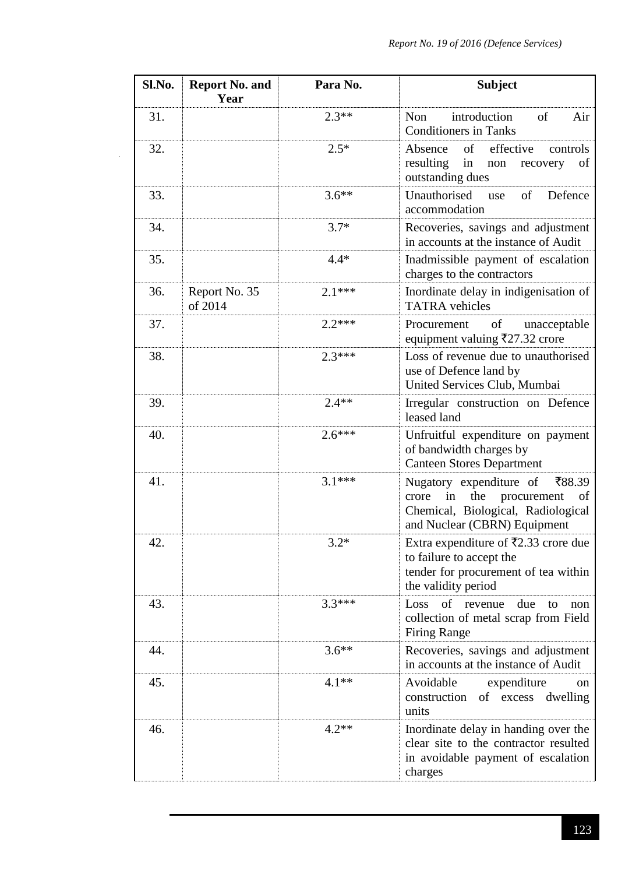| Sl.No. | <b>Report No. and</b><br>Year | Para No. | <b>Subject</b>                                                                                                                                     |  |  |  |
|--------|-------------------------------|----------|----------------------------------------------------------------------------------------------------------------------------------------------------|--|--|--|
| 31.    |                               | $2.3**$  | introduction<br>Non<br>of<br>Air<br><b>Conditioners in Tanks</b>                                                                                   |  |  |  |
| 32.    |                               | $2.5*$   | effective<br>Absence<br>of<br>controls<br>resulting<br>in<br>of<br>non<br>recovery<br>outstanding dues                                             |  |  |  |
| 33.    |                               | $3.6***$ | Unauthorised<br>of<br>Defence<br>use<br>accommodation                                                                                              |  |  |  |
| 34.    |                               | $3.7*$   | Recoveries, savings and adjustment<br>in accounts at the instance of Audit                                                                         |  |  |  |
| 35.    |                               | $4.4*$   | Inadmissible payment of escalation<br>charges to the contractors                                                                                   |  |  |  |
| 36.    | Report No. 35<br>of 2014      | $2.1***$ | Inordinate delay in indigenisation of<br><b>TATRA</b> vehicles                                                                                     |  |  |  |
| 37.    |                               | $2.2***$ | of<br>Procurement<br>unacceptable<br>equipment valuing ₹27.32 crore                                                                                |  |  |  |
| 38.    |                               | $2.3***$ | Loss of revenue due to unauthorised<br>use of Defence land by<br>United Services Club, Mumbai                                                      |  |  |  |
| 39.    |                               | $2.4**$  | Irregular construction on Defence<br>leased land                                                                                                   |  |  |  |
| 40.    |                               | $2.6***$ | Unfruitful expenditure on payment<br>of bandwidth charges by<br><b>Canteen Stores Department</b>                                                   |  |  |  |
| 41.    |                               | $3.1***$ | Nugatory expenditure of<br>₹88.39<br>the<br>in<br>procurement<br>crore<br>of<br>Chemical, Biological, Radiological<br>and Nuclear (CBRN) Equipment |  |  |  |
| 42.    |                               | $3.2*$   | Extra expenditure of $\overline{5}2.33$ crore due<br>to failure to accept the<br>tender for procurement of tea within<br>the validity period       |  |  |  |
| 43.    |                               | $3.3***$ | Loss<br>of<br>due<br>revenue<br>to<br>non<br>collection of metal scrap from Field<br><b>Firing Range</b>                                           |  |  |  |
| 44.    |                               | $3.6***$ | Recoveries, savings and adjustment<br>in accounts at the instance of Audit                                                                         |  |  |  |
| 45.    |                               | $4.1**$  | Avoidable<br>expenditure<br>on<br>of excess<br>construction<br>dwelling<br>units                                                                   |  |  |  |
| 46.    |                               | $4.2**$  | Inordinate delay in handing over the<br>clear site to the contractor resulted<br>in avoidable payment of escalation<br>charges                     |  |  |  |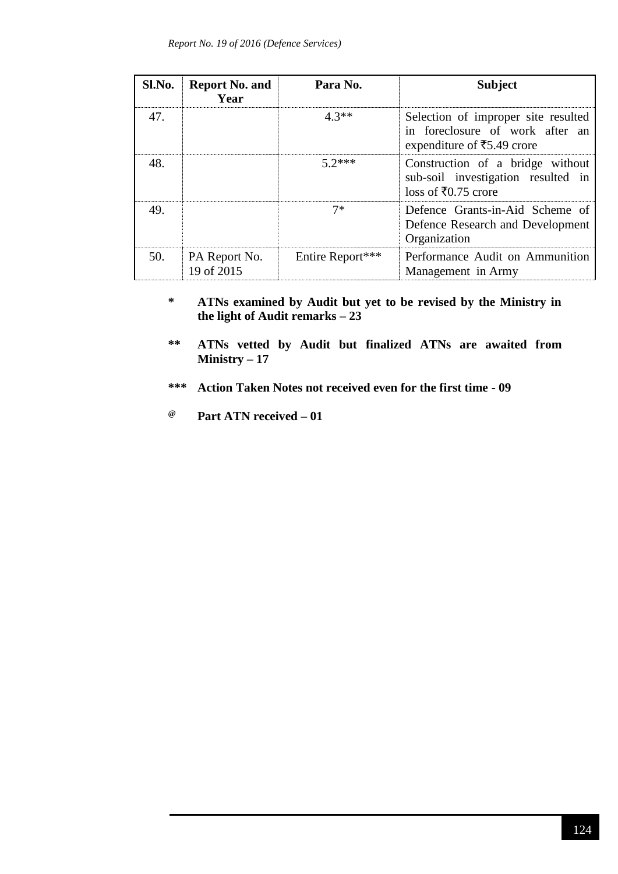| Sl.No. | <b>Report No. and</b><br>Year | Para No.         | <b>Subject</b>                                                                                         |
|--------|-------------------------------|------------------|--------------------------------------------------------------------------------------------------------|
| 47.    |                               | $4.3**$          | Selection of improper site resulted<br>in foreclosure of work after an<br>expenditure of ₹5.49 crore   |
| 48.    |                               | $5.2***$         | Construction of a bridge without<br>sub-soil investigation resulted in<br>loss of $\bar{x}$ 0.75 crore |
| 49.    |                               | $7*$             | Defence Grants-in-Aid Scheme of<br>Defence Research and Development<br>Organization                    |
| 50.    | PA Report No.<br>19 of 2015   | Entire Report*** | Performance Audit on Ammunition<br>Management in Army                                                  |

#### **\* ATNs examined by Audit but yet to be revised by the Ministry in the light of Audit remarks – 23**

- **\*\* ATNs vetted by Audit but finalized ATNs are awaited from Ministry – 17**
- **\*\*\* Action Taken Notes not received even for the first time - 09**
- **@ Part ATN received – 01**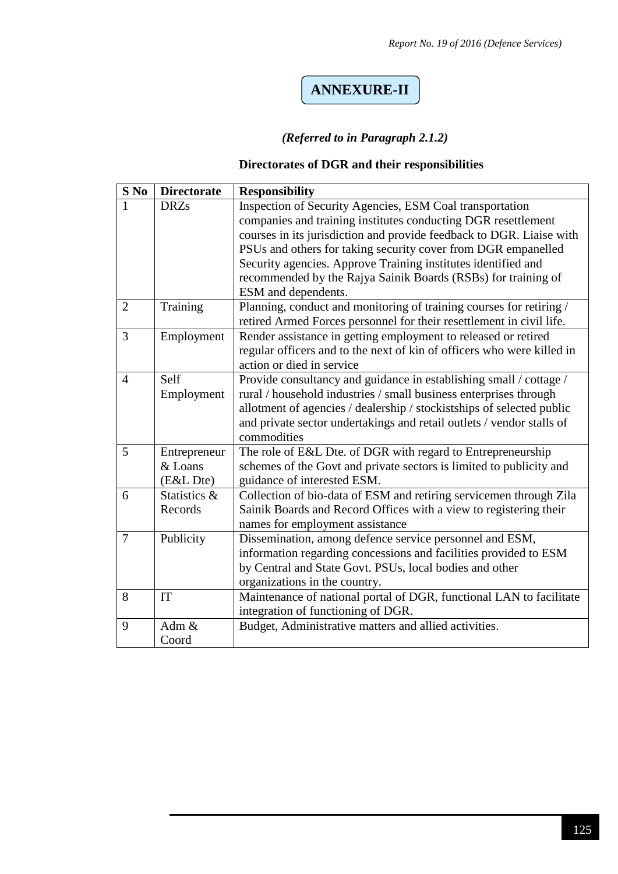# **ANNEXURE-II**

#### *(Referred to in Paragraph 2.1.2)*

#### **Directorates of DGR and their responsibilities**

| $S$ No         | <b>Directorate</b>                   | <b>Responsibility</b>                                                                                                                                                                                                                                                                                                                                                                                                       |
|----------------|--------------------------------------|-----------------------------------------------------------------------------------------------------------------------------------------------------------------------------------------------------------------------------------------------------------------------------------------------------------------------------------------------------------------------------------------------------------------------------|
|                | <b>DRZs</b>                          | Inspection of Security Agencies, ESM Coal transportation<br>companies and training institutes conducting DGR resettlement<br>courses in its jurisdiction and provide feedback to DGR. Liaise with<br>PSUs and others for taking security cover from DGR empanelled<br>Security agencies. Approve Training institutes identified and<br>recommended by the Rajya Sainik Boards (RSBs) for training of<br>ESM and dependents. |
| $\overline{2}$ | Training                             | Planning, conduct and monitoring of training courses for retiring /<br>retired Armed Forces personnel for their resettlement in civil life.                                                                                                                                                                                                                                                                                 |
| 3              | Employment                           | Render assistance in getting employment to released or retired<br>regular officers and to the next of kin of officers who were killed in<br>action or died in service                                                                                                                                                                                                                                                       |
| $\overline{4}$ | Self<br>Employment                   | Provide consultancy and guidance in establishing small / cottage /<br>rural / household industries / small business enterprises through<br>allotment of agencies / dealership / stockistships of selected public<br>and private sector undertakings and retail outlets / vendor stalls of<br>commodities                                                                                                                    |
| 5              | Entrepreneur<br>& Loans<br>(E&L Dte) | The role of E&L Dte. of DGR with regard to Entrepreneurship<br>schemes of the Govt and private sectors is limited to publicity and<br>guidance of interested ESM.                                                                                                                                                                                                                                                           |
| 6              | Statistics &<br>Records              | Collection of bio-data of ESM and retiring servicemen through Zila<br>Sainik Boards and Record Offices with a view to registering their<br>names for employment assistance                                                                                                                                                                                                                                                  |
| $\overline{7}$ | Publicity                            | Dissemination, among defence service personnel and ESM,<br>information regarding concessions and facilities provided to ESM<br>by Central and State Govt. PSUs, local bodies and other<br>organizations in the country.                                                                                                                                                                                                     |
| 8              | IT                                   | Maintenance of national portal of DGR, functional LAN to facilitate<br>integration of functioning of DGR.                                                                                                                                                                                                                                                                                                                   |
| 9              | Adm $&$<br>Coord                     | Budget, Administrative matters and allied activities.                                                                                                                                                                                                                                                                                                                                                                       |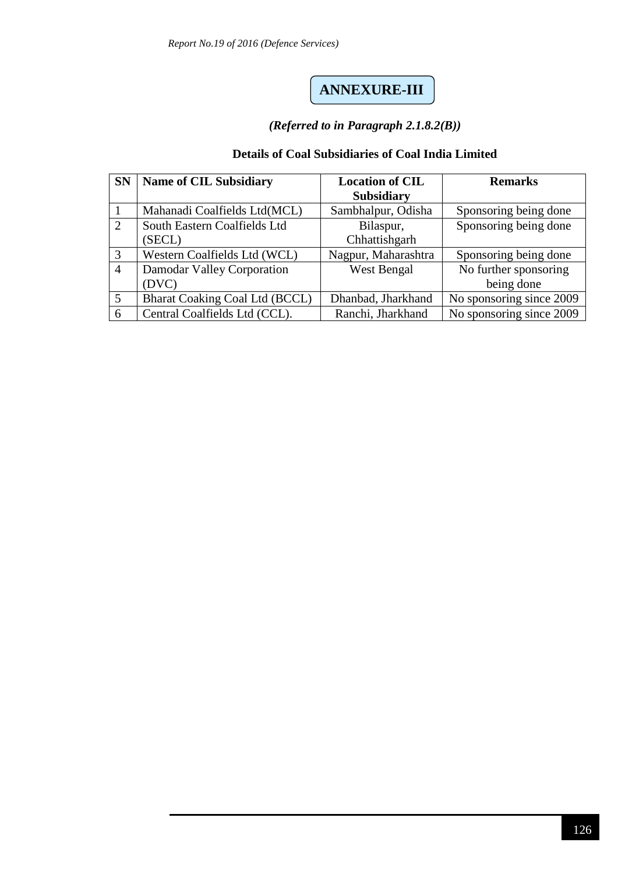## **ANNEXURE-III**

#### *(Referred to in Paragraph 2.1.8.2(B))*

#### **Details of Coal Subsidiaries of Coal India Limited**

| <b>SN</b>      | <b>Name of CIL Subsidiary</b>  | <b>Location of CIL</b> | <b>Remarks</b>           |
|----------------|--------------------------------|------------------------|--------------------------|
|                |                                | <b>Subsidiary</b>      |                          |
|                | Mahanadi Coalfields Ltd(MCL)   | Sambhalpur, Odisha     | Sponsoring being done    |
| 2              | South Eastern Coalfields Ltd   | Bilaspur,              | Sponsoring being done    |
|                | (SECL)                         | Chhattishgarh          |                          |
| 3              | Western Coalfields Ltd (WCL)   | Nagpur, Maharashtra    | Sponsoring being done    |
| $\overline{4}$ | Damodar Valley Corporation     | <b>West Bengal</b>     | No further sponsoring    |
|                | (DVC)                          |                        | being done               |
| 5              | Bharat Coaking Coal Ltd (BCCL) | Dhanbad, Jharkhand     | No sponsoring since 2009 |
| 6              | Central Coalfields Ltd (CCL).  | Ranchi, Jharkhand      | No sponsoring since 2009 |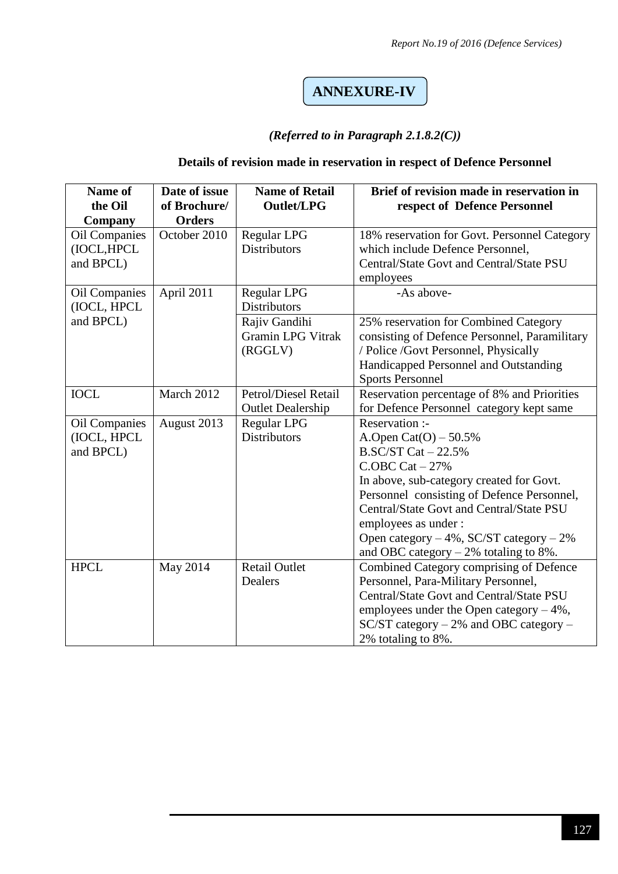## **ANNEXURE-IV**

#### *(Referred to in Paragraph 2.1.8.2(C))*

#### **Details of revision made in reservation in respect of Defence Personnel**

| Name of<br>the Oil<br>Company             | Date of issue<br>of Brochure/<br><b>Orders</b> | <b>Name of Retail</b><br><b>Outlet/LPG</b>           | Brief of revision made in reservation in<br>respect of Defence Personnel                                                                                                                                                                                                                                                                         |
|-------------------------------------------|------------------------------------------------|------------------------------------------------------|--------------------------------------------------------------------------------------------------------------------------------------------------------------------------------------------------------------------------------------------------------------------------------------------------------------------------------------------------|
| Oil Companies<br>(IOCL, HPCL<br>and BPCL) | October 2010                                   | Regular LPG<br><b>Distributors</b>                   | 18% reservation for Govt. Personnel Category<br>which include Defence Personnel,<br>Central/State Govt and Central/State PSU<br>employees                                                                                                                                                                                                        |
| <b>Oil Companies</b><br>(IOCL, HPCL       | April 2011                                     | <b>Regular LPG</b><br><b>Distributors</b>            | -As above-                                                                                                                                                                                                                                                                                                                                       |
| and BPCL)                                 |                                                | Rajiv Gandihi<br><b>Gramin LPG Vitrak</b><br>(RGGLV) | 25% reservation for Combined Category<br>consisting of Defence Personnel, Paramilitary<br>/ Police /Govt Personnel, Physically<br>Handicapped Personnel and Outstanding<br><b>Sports Personnel</b>                                                                                                                                               |
| <b>IOCL</b>                               | March 2012                                     | Petrol/Diesel Retail<br><b>Outlet Dealership</b>     | Reservation percentage of 8% and Priorities<br>for Defence Personnel category kept same                                                                                                                                                                                                                                                          |
| Oil Companies<br>(IOCL, HPCL<br>and BPCL) | August 2013                                    | <b>Regular LPG</b><br><b>Distributors</b>            | Reservation :-<br>A.Open Cat(O) $-50.5%$<br>$B.SC/ST Cat - 22.5%$<br>$C.$ OBC Cat $-27%$<br>In above, sub-category created for Govt.<br>Personnel consisting of Defence Personnel,<br>Central/State Govt and Central/State PSU<br>employees as under:<br>Open category $-4\%$ , SC/ST category $-2\%$<br>and OBC category $-2\%$ totaling to 8%. |
| <b>HPCL</b>                               | May 2014                                       | <b>Retail Outlet</b><br>Dealers                      | Combined Category comprising of Defence<br>Personnel, Para-Military Personnel,<br>Central/State Govt and Central/State PSU<br>employees under the Open category $-4\%$ ,<br>$SC/ST$ category – 2% and OBC category –<br>2% totaling to 8%.                                                                                                       |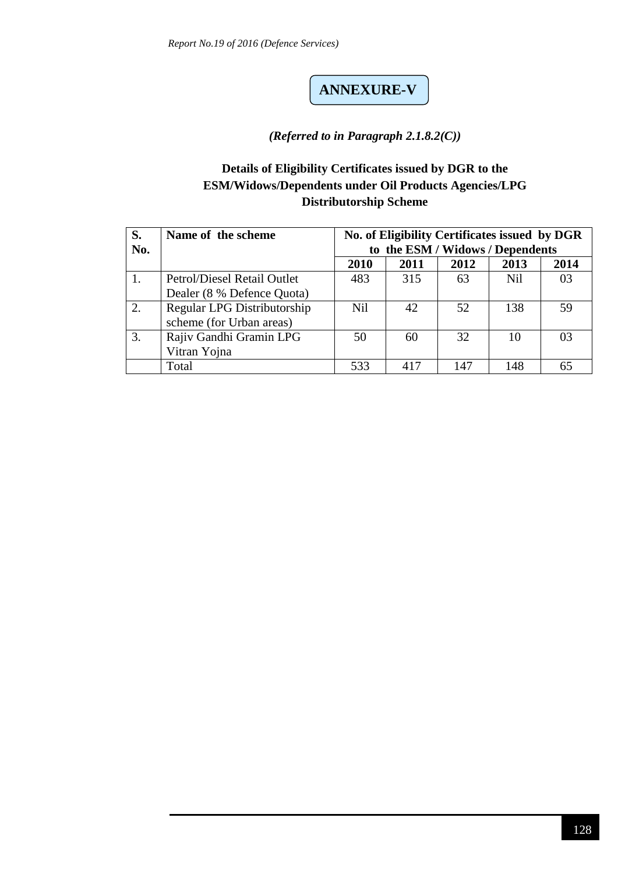# **ANNEXURE-V**

#### *(Referred to in Paragraph 2.1.8.2(C))*

#### **Details of Eligibility Certificates issued by DGR to the ESM/Widows/Dependents under Oil Products Agencies/LPG Distributorship Scheme**

| S.<br>No. | Name of the scheme          |            | No. of Eligibility Certificates issued by DGR<br>to the ESM / Widows / Dependents |      |            |      |  |  |
|-----------|-----------------------------|------------|-----------------------------------------------------------------------------------|------|------------|------|--|--|
|           |                             | 2010       | 2011                                                                              | 2012 | 2013       | 2014 |  |  |
|           | Petrol/Diesel Retail Outlet | 483        | 315                                                                               | 63   | <b>Nil</b> | 03   |  |  |
|           | Dealer (8 % Defence Quota)  |            |                                                                                   |      |            |      |  |  |
| 2.        | Regular LPG Distributorship | <b>Nil</b> | 42                                                                                | 52   | 138        | 59   |  |  |
|           | scheme (for Urban areas)    |            |                                                                                   |      |            |      |  |  |
| 3.        | Rajiv Gandhi Gramin LPG     | 50         | 60                                                                                | 32   | 10         | 03   |  |  |
|           | Vitran Yojna                |            |                                                                                   |      |            |      |  |  |
|           | Total                       | 533        | 417                                                                               | 147  | 148        | 65   |  |  |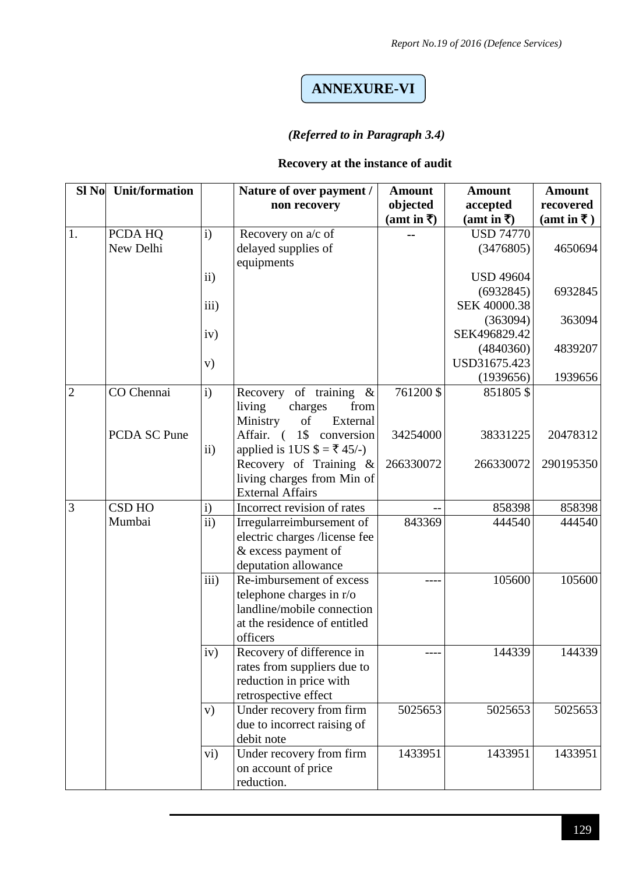## **ANNEXURE-VI**

#### *(Referred to in Paragraph 3.4)*

#### **Recovery at the instance of audit**

| Sl No          | <b>Unit/formation</b> |                 | Nature of over payment /                               | <b>Amount</b> | <b>Amount</b>    | <b>Amount</b> |
|----------------|-----------------------|-----------------|--------------------------------------------------------|---------------|------------------|---------------|
|                |                       |                 | non recovery                                           | objected      | accepted         | recovered     |
|                |                       |                 |                                                        | (amt in ₹)    | (amt in ₹)       | (amt in ₹)    |
| 1.             | PCDA HQ               | $\mathbf{i}$    | Recovery on a/c of                                     |               | <b>USD 74770</b> |               |
|                | New Delhi             |                 | delayed supplies of                                    |               | (3476805)        | 4650694       |
|                |                       |                 | equipments                                             |               |                  |               |
|                |                       | ii)             |                                                        |               | <b>USD 49604</b> |               |
|                |                       |                 |                                                        |               | (6932845)        | 6932845       |
|                |                       | iii)            |                                                        |               | SEK 40000.38     |               |
|                |                       |                 |                                                        |               | (363094)         | 363094        |
|                |                       | iv)             |                                                        |               | SEK496829.42     |               |
|                |                       |                 |                                                        |               | (4840360)        | 4839207       |
|                |                       | V)              |                                                        |               | USD31675.423     |               |
|                |                       |                 |                                                        |               | (1939656)        | 1939656       |
| $\overline{2}$ | CO Chennai            | i)              | Recovery of training<br>$\&$                           | 761200 \$     | 851805\$         |               |
|                |                       |                 | from<br>living<br>charges                              |               |                  |               |
|                |                       |                 | Ministry<br>of<br>External                             |               |                  |               |
|                | <b>PCDA SC Pune</b>   |                 | Affair. (1\$ conversion                                | 34254000      | 38331225         | 20478312      |
|                |                       | $\mathbf{ii}$   | applied is 1US $\$\ = \frac{1}{5}$ 45/-)               |               |                  |               |
|                |                       |                 | Recovery of Training &                                 | 266330072     | 266330072        | 290195350     |
|                |                       |                 | living charges from Min of                             |               |                  |               |
|                |                       |                 | <b>External Affairs</b>                                |               |                  |               |
| 3              | <b>CSD HO</b>         | $\mathbf{i}$    | Incorrect revision of rates                            |               | 858398           | 858398        |
|                | Mumbai                | $\overline{ii}$ | Irregularreimbursement of                              | 843369        | 444540           | 444540        |
|                |                       |                 | electric charges /license fee                          |               |                  |               |
|                |                       |                 | & excess payment of                                    |               |                  |               |
|                |                       |                 | deputation allowance                                   |               |                  |               |
|                |                       | iii)            | Re-imbursement of excess                               |               | 105600           | 105600        |
|                |                       |                 | telephone charges in r/o<br>landline/mobile connection |               |                  |               |
|                |                       |                 | at the residence of entitled                           |               |                  |               |
|                |                       |                 | officers                                               |               |                  |               |
|                |                       | iv)             | Recovery of difference in                              |               | 144339           | 144339        |
|                |                       |                 | rates from suppliers due to                            |               |                  |               |
|                |                       |                 | reduction in price with                                |               |                  |               |
|                |                       |                 | retrospective effect                                   |               |                  |               |
|                |                       | V)              | Under recovery from firm                               | 5025653       | 5025653          | 5025653       |
|                |                       |                 | due to incorrect raising of                            |               |                  |               |
|                |                       |                 | debit note                                             |               |                  |               |
|                |                       | $\rm vi)$       | Under recovery from firm                               | 1433951       | 1433951          | 1433951       |
|                |                       |                 | on account of price                                    |               |                  |               |
|                |                       |                 | reduction.                                             |               |                  |               |
|                |                       |                 |                                                        |               |                  |               |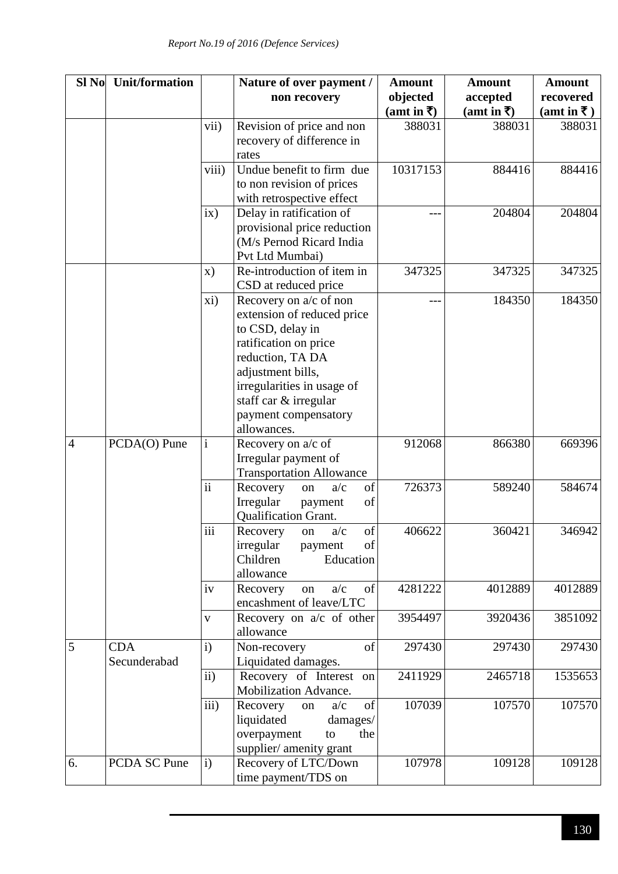| Sl No          | <b>Unit/formation</b> |               | Nature of over payment /        | <b>Amount</b> | <b>Amount</b> | <b>Amount</b> |
|----------------|-----------------------|---------------|---------------------------------|---------------|---------------|---------------|
|                |                       |               | non recovery                    | objected      | accepted      | recovered     |
|                |                       |               |                                 | (amt in ₹)    | (amt in ₹)    | (amt in ₹)    |
|                |                       | vii)          | Revision of price and non       | 388031        | 388031        | 388031        |
|                |                       |               | recovery of difference in       |               |               |               |
|                |                       |               | rates                           |               |               |               |
|                |                       | viii)         | Undue benefit to firm due       | 10317153      | 884416        | 884416        |
|                |                       |               | to non revision of prices       |               |               |               |
|                |                       |               | with retrospective effect       |               |               |               |
|                |                       | ix)           | Delay in ratification of        |               | 204804        | 204804        |
|                |                       |               | provisional price reduction     |               |               |               |
|                |                       |               | (M/s Pernod Ricard India        |               |               |               |
|                |                       |               | Pvt Ltd Mumbai)                 |               |               |               |
|                |                       | $\mathbf{x})$ | Re-introduction of item in      | 347325        | 347325        | 347325        |
|                |                       |               | CSD at reduced price            |               |               |               |
|                |                       | xi)           | Recovery on a/c of non          |               | 184350        | 184350        |
|                |                       |               | extension of reduced price      |               |               |               |
|                |                       |               | to CSD, delay in                |               |               |               |
|                |                       |               | ratification on price           |               |               |               |
|                |                       |               | reduction, TA DA                |               |               |               |
|                |                       |               | adjustment bills,               |               |               |               |
|                |                       |               | irregularities in usage of      |               |               |               |
|                |                       |               | staff car & irregular           |               |               |               |
|                |                       |               | payment compensatory            |               |               |               |
|                |                       |               | allowances.                     |               |               |               |
| $\overline{4}$ | PCDA(O) Pune          | $\mathbf{i}$  | Recovery on a/c of              | 912068        | 866380        | 669396        |
|                |                       |               | Irregular payment of            |               |               |               |
|                |                       |               | <b>Transportation Allowance</b> |               |               |               |
|                |                       | ii            | of<br>Recovery<br>a/c<br>on     | 726373        | 589240        | 584674        |
|                |                       |               | of<br>Irregular<br>payment      |               |               |               |
|                |                       |               | Qualification Grant.            |               |               |               |
|                |                       | iii           | of<br>a/c<br>Recovery<br>on     | 406622        | 360421        | 346942        |
|                |                       |               | of<br>irregular<br>payment      |               |               |               |
|                |                       |               | Education<br>Children           |               |               |               |
|                |                       |               | allowance                       |               |               |               |
|                |                       | iv            | a/c<br>of<br>Recovery<br>on     | 4281222       | 4012889       | 4012889       |
|                |                       |               | encashment of leave/LTC         |               |               |               |
|                |                       | $\mathbf{V}$  | Recovery on a/c of other        | 3954497       | 3920436       | 3851092       |
|                |                       |               | allowance                       |               |               |               |
| 5              | <b>CDA</b>            | $\mathbf{i}$  | Non-recovery<br>of              | 297430        | 297430        | 297430        |
|                | Secunderabad          |               | Liquidated damages.             |               |               |               |
|                |                       | $\mathbf{ii}$ | Recovery of Interest on         | 2411929       | 2465718       | 1535653       |
|                |                       |               | Mobilization Advance.           |               |               |               |
|                |                       | iii)          | of<br>a/c<br>Recovery<br>on     | 107039        | 107570        | 107570        |
|                |                       |               | liquidated<br>damages/          |               |               |               |
|                |                       |               | overpayment<br>the<br>to        |               |               |               |
|                |                       |               | supplier/ amenity grant         |               |               |               |
| 6.             | PCDA SC Pune          | $\mathbf{i}$  | Recovery of LTC/Down            | 107978        | 109128        | 109128        |
|                |                       |               | time payment/TDS on             |               |               |               |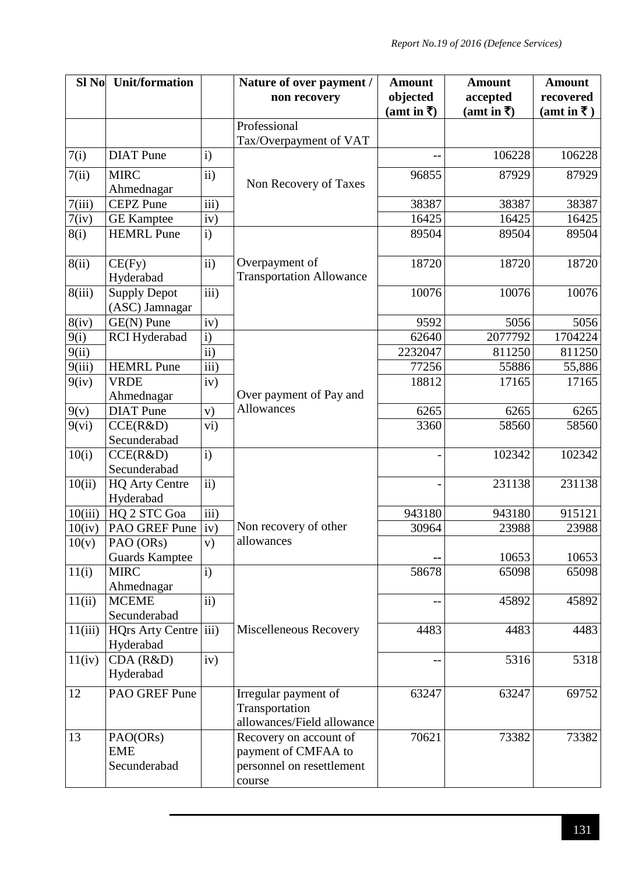| Sl No   | <b>Unit/formation</b>          |                   | Nature of over payment /        | <b>Amount</b> | <b>Amount</b> | <b>Amount</b>                       |
|---------|--------------------------------|-------------------|---------------------------------|---------------|---------------|-------------------------------------|
|         |                                |                   | non recovery                    | objected      | accepted      | recovered                           |
|         |                                |                   |                                 | (amt in ₹)    | (amt in ₹)    | $(amt in \overline{\mathbf{\tau}})$ |
|         |                                |                   | Professional                    |               |               |                                     |
|         |                                |                   | Tax/Overpayment of VAT          |               |               |                                     |
| 7(i)    | <b>DIAT</b> Pune               | $\mathbf{i}$      |                                 |               | 106228        | 106228                              |
| 7(ii)   | <b>MIRC</b>                    | $\overline{ii}$ ) |                                 | 96855         | 87929         | 87929                               |
|         | Ahmednagar                     |                   | Non Recovery of Taxes           |               |               |                                     |
| 7(iii)  | <b>CEPZ</b> Pune               | $\overline{iii}$  |                                 | 38387         | 38387         | 38387                               |
| 7(iv)   | <b>GE</b> Kamptee              | iv)               |                                 | 16425         | 16425         | 16425                               |
| 8(i)    | <b>HEMRL</b> Pune              | $\mathbf{i}$      |                                 | 89504         | 89504         | 89504                               |
|         |                                |                   |                                 |               |               |                                     |
| 8(ii)   | CE(Fy)                         | ii)               | Overpayment of                  | 18720         | 18720         | 18720                               |
|         | Hyderabad                      |                   | <b>Transportation Allowance</b> |               |               |                                     |
| 8(iii)  | <b>Supply Depot</b>            | $\overline{iii}$  |                                 | 10076         | 10076         | 10076                               |
|         | (ASC) Jamnagar                 |                   |                                 |               |               |                                     |
| 8(iv)   | GE(N) Pune                     | iv)               |                                 | 9592          | 5056          | 5056                                |
| 9(i)    | <b>RCI</b> Hyderabad           | $\mathbf{i}$      |                                 | 62640         | 2077792       | 1704224                             |
| 9(ii)   |                                | $\overline{ii}$   |                                 | 2232047       | 811250        | 811250                              |
| 9(iii)  | <b>HEMRL</b> Pune              | $\overline{iii}$  |                                 | 77256         | 55886         | 55,886                              |
| 9(iv)   | <b>VRDE</b>                    | iv)               | Over payment of Pay and         | 18812         | 17165         | 17165                               |
|         | Ahmednagar<br><b>DIAT</b> Pune |                   | Allowances                      | 6265          | 6265          | 6265                                |
| 9(v)    |                                | V)                |                                 |               |               | 58560                               |
| 9(vi)   | CCE(R&D)<br>Secunderabad       | vi)               |                                 | 3360          | 58560         |                                     |
| 10(i)   | CCE(R&D)                       | $\mathbf{i}$      |                                 |               | 102342        | 102342                              |
|         | Secunderabad                   |                   |                                 |               |               |                                     |
| 10(ii)  | <b>HQ Arty Centre</b>          | $\overline{ii}$ ) |                                 |               | 231138        | 231138                              |
|         | Hyderabad                      |                   |                                 |               |               |                                     |
| 10(iii) | HQ 2 STC Goa                   | iii)              |                                 | 943180        | 943180        | 915121                              |
| 10(iv)  | PAO GREF Pune                  | iv)               | Non recovery of other           | 30964         | 23988         | 23988                               |
| 10(v)   | PAO (ORs)                      | V)                | allowances                      |               |               |                                     |
|         | <b>Guards Kamptee</b>          |                   |                                 |               | 10653         | 10653                               |
| 11(i)   | <b>MIRC</b>                    | i)                |                                 | 58678         | 65098         | 65098                               |
|         | Ahmednagar                     |                   |                                 |               |               |                                     |
| 11(ii)  | <b>MCEME</b>                   | $\mathbf{ii}$     |                                 |               | 45892         | 45892                               |
|         | Secunderabad                   |                   |                                 |               |               |                                     |
| 11(iii) | <b>HQrs Arty Centre</b>        | iii)              | Miscelleneous Recovery          | 4483          | 4483          | 4483                                |
|         | Hyderabad                      |                   |                                 |               |               |                                     |
| 11(iv)  | $CDA$ ( $R&D$ )                | iv)               |                                 |               | 5316          | 5318                                |
|         | Hyderabad                      |                   |                                 |               |               |                                     |
| 12      | PAO GREF Pune                  |                   | Irregular payment of            | 63247         | 63247         | 69752                               |
|         |                                |                   | Transportation                  |               |               |                                     |
|         |                                |                   | allowances/Field allowance      |               |               |                                     |
| 13      | PAO(ORs)                       |                   | Recovery on account of          | 70621         | 73382         | 73382                               |
|         | <b>EME</b>                     |                   | payment of CMFAA to             |               |               |                                     |
|         | Secunderabad                   |                   | personnel on resettlement       |               |               |                                     |
|         |                                |                   | course                          |               |               |                                     |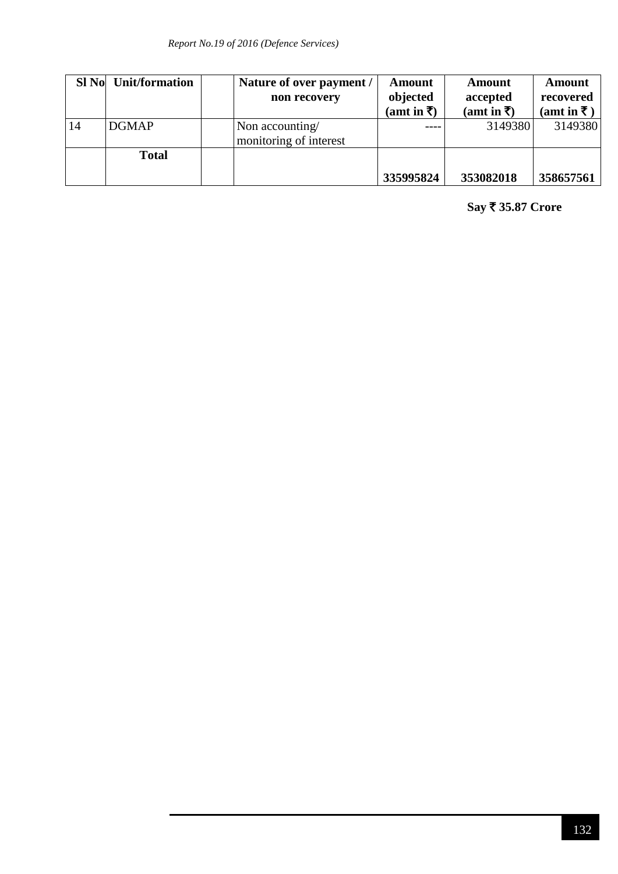|    | SI No Unit/formation | Nature of over payment /<br>non recovery  | <b>Amount</b><br>objected<br>(amt in ₹) | Amount<br>accepted<br>(amt in ₹) | Amount<br>recovered<br>(amt in ₹) |
|----|----------------------|-------------------------------------------|-----------------------------------------|----------------------------------|-----------------------------------|
| 14 | <b>DGMAP</b>         | Non accounting/<br>monitoring of interest |                                         | 3149380                          | 3149380                           |
|    | <b>Total</b>         |                                           | 335995824                               | 353082018                        | 358657561                         |

**Say** ` **35.87 Crore**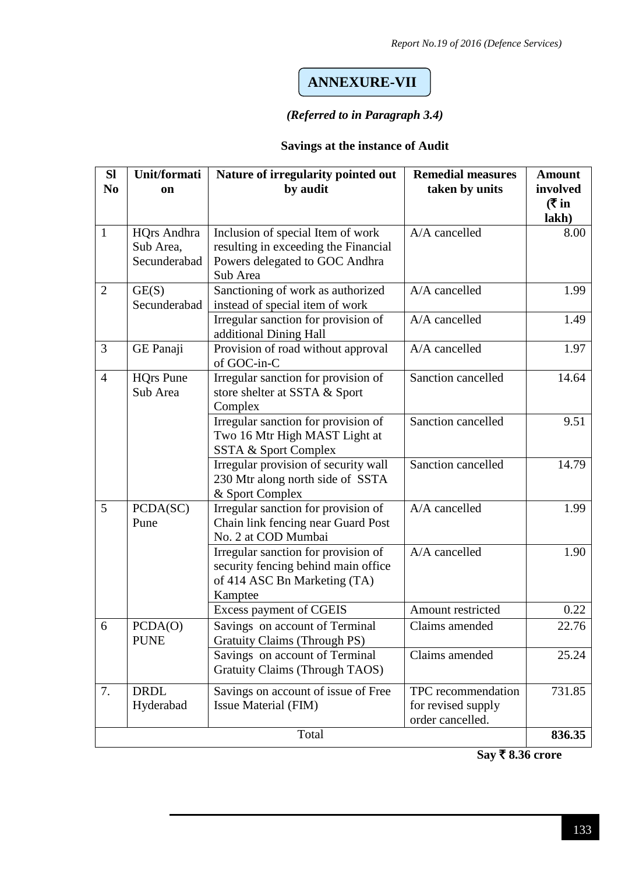### **ANNEXURE-VII**

#### *(Referred to in Paragraph 3.4)*

#### **Savings at the instance of Audit**

| <b>SI</b><br>N <sub>0</sub> | Unit/formati<br>on                              | Nature of irregularity pointed out<br>by audit                                                                          | <b>Remedial measures</b><br>taken by units                   | <b>Amount</b><br>involved<br>( ₹ in<br>lakh) |
|-----------------------------|-------------------------------------------------|-------------------------------------------------------------------------------------------------------------------------|--------------------------------------------------------------|----------------------------------------------|
| $\mathbf{1}$                | <b>HQrs</b> Andhra<br>Sub Area,<br>Secunderabad | Inclusion of special Item of work<br>resulting in exceeding the Financial<br>Powers delegated to GOC Andhra<br>Sub Area | A/A cancelled                                                | 8.00                                         |
| $\overline{2}$              | GE(S)<br>Secunderabad                           | Sanctioning of work as authorized<br>instead of special item of work                                                    | A/A cancelled                                                | 1.99                                         |
|                             |                                                 | Irregular sanction for provision of<br>additional Dining Hall                                                           | A/A cancelled                                                | 1.49                                         |
| 3                           | GE Panaji                                       | Provision of road without approval<br>of GOC-in-C                                                                       | A/A cancelled                                                | 1.97                                         |
| $\overline{4}$              | <b>HQrs Pune</b><br>Sub Area                    | Irregular sanction for provision of<br>store shelter at SSTA & Sport<br>Complex                                         | Sanction cancelled                                           | 14.64                                        |
|                             |                                                 | Irregular sanction for provision of<br>Two 16 Mtr High MAST Light at<br>SSTA & Sport Complex                            | Sanction cancelled                                           | 9.51                                         |
|                             |                                                 | Irregular provision of security wall<br>230 Mtr along north side of SSTA<br>& Sport Complex                             | Sanction cancelled                                           | 14.79                                        |
| 5                           | PCDA(SC)<br>Pune                                | Irregular sanction for provision of<br>Chain link fencing near Guard Post<br>No. 2 at COD Mumbai                        | A/A cancelled                                                | 1.99                                         |
|                             |                                                 | Irregular sanction for provision of<br>security fencing behind main office<br>of 414 ASC Bn Marketing (TA)<br>Kamptee   | A/A cancelled                                                | 1.90                                         |
|                             |                                                 | Excess payment of CGEIS                                                                                                 | Amount restricted                                            | 0.22                                         |
| 6                           | PCDA(O)<br><b>PUNE</b>                          | Savings on account of Terminal<br><b>Gratuity Claims (Through PS)</b>                                                   | Claims amended                                               | 22.76                                        |
|                             |                                                 | Savings on account of Terminal<br><b>Gratuity Claims (Through TAOS)</b>                                                 | Claims amended                                               | 25.24                                        |
| 7.                          | <b>DRDL</b><br>Hyderabad                        | Savings on account of issue of Free<br><b>Issue Material (FIM)</b>                                                      | TPC recommendation<br>for revised supply<br>order cancelled. | 731.85                                       |
|                             |                                                 | Total                                                                                                                   |                                                              | 836.35                                       |

**Say ₹8.36 crore**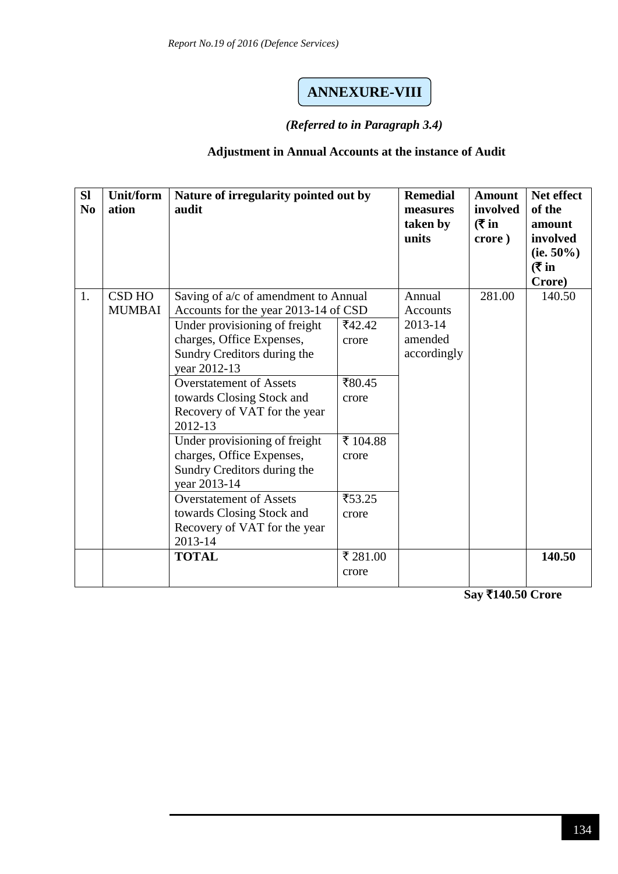### **ANNEXURE-VIII**

#### *(Referred to in Paragraph 3.4)*

#### **Adjustment in Annual Accounts at the instance of Audit**

| <b>Sl</b><br>N <sub>0</sub> | <b>Unit/form</b><br>ation      | Nature of irregularity pointed out by<br>audit                                                                                                                                                                                                                                                                                                                                                                                                                                                                             |                                                                            | <b>Remedial</b><br>measures<br>taken by<br>units        | <b>Amount</b><br>involved<br>( ₹ in<br>crore) | Net effect<br>of the<br>amount<br>involved<br>(ie. $50\%$ )<br>( ₹ in<br>Crore) |
|-----------------------------|--------------------------------|----------------------------------------------------------------------------------------------------------------------------------------------------------------------------------------------------------------------------------------------------------------------------------------------------------------------------------------------------------------------------------------------------------------------------------------------------------------------------------------------------------------------------|----------------------------------------------------------------------------|---------------------------------------------------------|-----------------------------------------------|---------------------------------------------------------------------------------|
| 1.                          | <b>CSD HO</b><br><b>MUMBAI</b> | Saving of a/c of amendment to Annual<br>Accounts for the year 2013-14 of CSD<br>Under provisioning of freight<br>charges, Office Expenses,<br>Sundry Creditors during the<br>year 2012-13<br><b>Overstatement of Assets</b><br>towards Closing Stock and<br>Recovery of VAT for the year<br>2012-13<br>Under provisioning of freight<br>charges, Office Expenses,<br>Sundry Creditors during the<br>year 2013-14<br><b>Overstatement of Assets</b><br>towards Closing Stock and<br>Recovery of VAT for the year<br>2013-14 | ₹42.42<br>crore<br>₹80.45<br>crore<br>₹ 104.88<br>crore<br>₹53.25<br>crore | Annual<br>Accounts<br>2013-14<br>amended<br>accordingly | 281.00                                        | 140.50                                                                          |
|                             |                                | <b>TOTAL</b>                                                                                                                                                                                                                                                                                                                                                                                                                                                                                                               | ₹ 281.00<br>crore                                                          |                                                         |                                               | 140.50                                                                          |

**Say** `**140.50 Crore**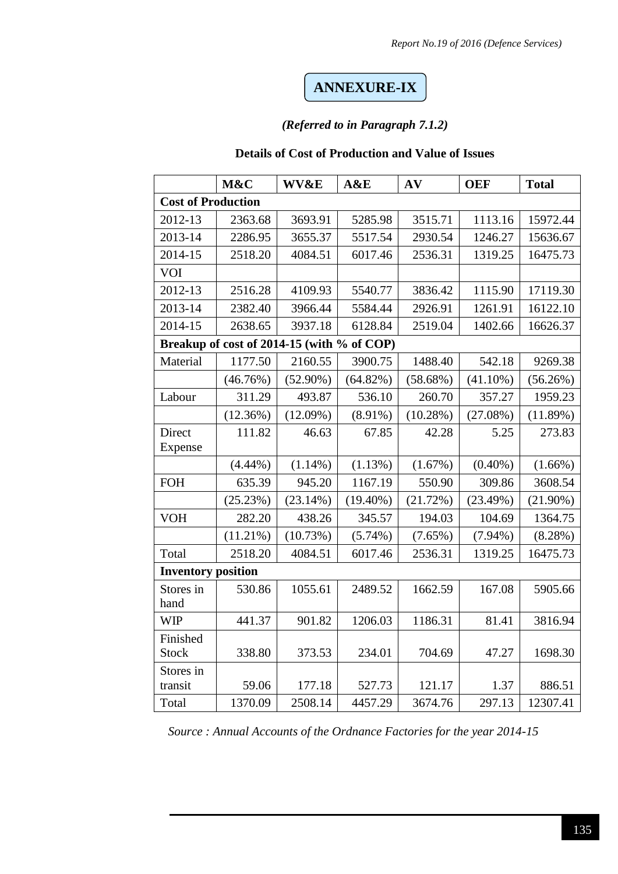### **ANNEXURE-IX**

#### *(Referred to in Paragraph 7.1.2)*

#### **Details of Cost of Production and Value of Issues**

|                           | M&C                                        | <b>WV&amp;E</b> | A&E         | AV          | <b>OEF</b>  | <b>Total</b> |
|---------------------------|--------------------------------------------|-----------------|-------------|-------------|-------------|--------------|
| <b>Cost of Production</b> |                                            |                 |             |             |             |              |
| 2012-13                   | 2363.68                                    | 3693.91         | 5285.98     | 3515.71     | 1113.16     | 15972.44     |
| 2013-14                   | 2286.95                                    | 3655.37         | 5517.54     | 2930.54     | 1246.27     | 15636.67     |
| 2014-15                   | 2518.20                                    | 4084.51         | 6017.46     | 2536.31     | 1319.25     | 16475.73     |
| VOI                       |                                            |                 |             |             |             |              |
| 2012-13                   | 2516.28                                    | 4109.93         | 5540.77     | 3836.42     | 1115.90     | 17119.30     |
| 2013-14                   | 2382.40                                    | 3966.44         | 5584.44     | 2926.91     | 1261.91     | 16122.10     |
| 2014-15                   | 2638.65                                    | 3937.18         | 6128.84     | 2519.04     | 1402.66     | 16626.37     |
|                           | Breakup of cost of 2014-15 (with % of COP) |                 |             |             |             |              |
| Material                  | 1177.50                                    | 2160.55         | 3900.75     | 1488.40     | 542.18      | 9269.38      |
|                           | (46.76%)                                   | $(52.90\%)$     | (64.82%)    | $(58.68\%)$ | $(41.10\%)$ | (56.26%)     |
| Labour                    | 311.29                                     | 493.87          | 536.10      | 260.70      | 357.27      | 1959.23      |
|                           | (12.36%)                                   | $(12.09\%)$     | $(8.91\%)$  | (10.28%)    | $(27.08\%)$ | (11.89%)     |
| Direct                    | 111.82                                     | 46.63           | 67.85       | 42.28       | 5.25        | 273.83       |
| Expense                   |                                            |                 |             |             |             |              |
|                           | $(4.44\%)$                                 | $(1.14\%)$      | (1.13%)     | (1.67%)     | $(0.40\%)$  | $(1.66\%)$   |
| <b>FOH</b>                | 635.39                                     | 945.20          | 1167.19     | 550.90      | 309.86      | 3608.54      |
|                           | (25.23%)                                   | (23.14%)        | $(19.40\%)$ | (21.72%)    | (23.49%)    | $(21.90\%)$  |
| <b>VOH</b>                | 282.20                                     | 438.26          | 345.57      | 194.03      | 104.69      | 1364.75      |
|                           | $(11.21\%)$                                | (10.73%)        | $(5.74\%)$  | $(7.65\%)$  | $(7.94\%)$  | $(8.28\%)$   |
| Total                     | 2518.20                                    | 4084.51         | 6017.46     | 2536.31     | 1319.25     | 16475.73     |
| <b>Inventory position</b> |                                            |                 |             |             |             |              |
| Stores in<br>hand         | 530.86                                     | 1055.61         | 2489.52     | 1662.59     | 167.08      | 5905.66      |
| <b>WIP</b>                | 441.37                                     | 901.82          | 1206.03     | 1186.31     | 81.41       | 3816.94      |
| Finished                  |                                            |                 |             |             |             |              |
| <b>Stock</b>              | 338.80                                     | 373.53          | 234.01      | 704.69      | 47.27       | 1698.30      |
| Stores in                 |                                            |                 |             |             |             |              |
| transit                   | 59.06                                      | 177.18          | 527.73      | 121.17      | 1.37        | 886.51       |
| Total                     | 1370.09                                    | 2508.14         | 4457.29     | 3674.76     | 297.13      | 12307.41     |

*Source : Annual Accounts of the Ordnance Factories for the year 2014-15*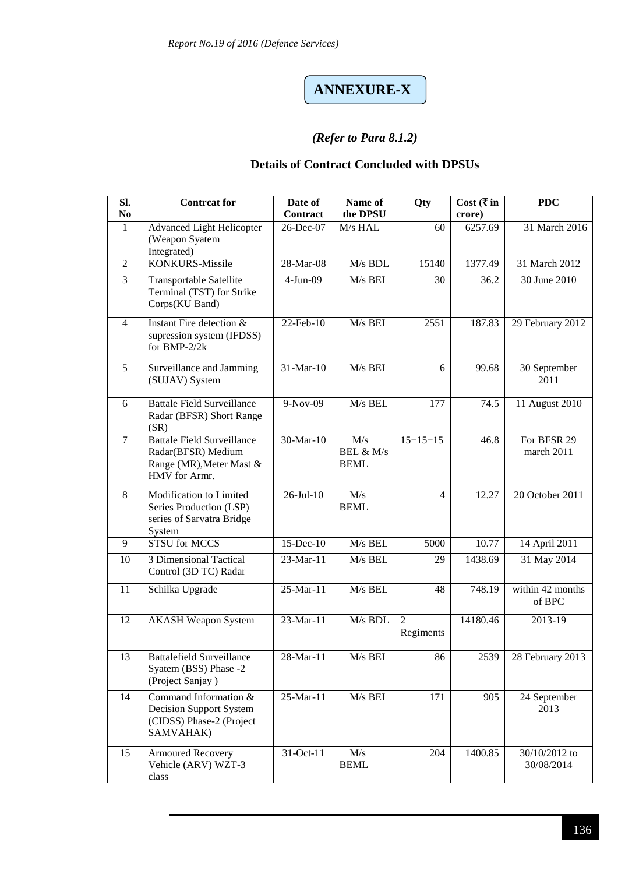# **ANNEXURE-X**

#### *(Refer to Para 8.1.2)*

#### **Details of Contract Concluded with DPSUs**

| SI.<br>N <sub>0</sub> | <b>Contreat for</b>                                                                                  | Date of<br><b>Contract</b> | Name of<br>the DPSU             | Qty                         | Cost (₹in<br>crore) | <b>PDC</b>                  |
|-----------------------|------------------------------------------------------------------------------------------------------|----------------------------|---------------------------------|-----------------------------|---------------------|-----------------------------|
| $\mathbf{1}$          | <b>Advanced Light Helicopter</b><br>(Weapon Syatem<br>Integrated)                                    | 26-Dec-07                  | M/s HAL                         | 60                          | 6257.69             | 31 March 2016               |
| $\overline{2}$        | <b>KONKURS-Missile</b>                                                                               | 28-Mar-08                  | M/s BDL                         | 15140                       | 1377.49             | 31 March 2012               |
| 3                     | Transportable Satellite<br>Terminal (TST) for Strike<br>Corps(KU Band)                               | $4-Jun-09$                 | M/s BEL                         | 30                          | 36.2                | 30 June 2010                |
| $\overline{4}$        | Instant Fire detection &<br>supression system (IFDSS)<br>for BMP-2/2k                                | 22-Feb-10                  | M/s BEL                         | 2551                        | 187.83              | 29 February 2012            |
| 5                     | Surveillance and Jamming<br>(SUJAV) System                                                           | 31-Mar-10                  | M/s BEL                         | 6                           | 99.68               | 30 September<br>2011        |
| 6                     | <b>Battale Field Surveillance</b><br>Radar (BFSR) Short Range<br>(SR)                                | 9-Nov-09                   | M/s BEL                         | 177                         | 74.5                | 11 August 2010              |
| $\overline{7}$        | <b>Battale Field Surveillance</b><br>Radar(BFSR) Medium<br>Range (MR), Meter Mast &<br>HMV for Armr. | 30-Mar-10                  | M/s<br>BEL & M/s<br><b>BEML</b> | $15+15+15$                  | 46.8                | For BFSR 29<br>march 2011   |
| 8                     | Modification to Limited<br>Series Production (LSP)<br>series of Sarvatra Bridge<br>System            | $26$ -Jul-10               | M/s<br><b>BEML</b>              | 4                           | 12.27               | 20 October 2011             |
| 9                     | <b>STSU</b> for MCCS                                                                                 | $15$ -Dec-10               | M/s BEL                         | 5000                        | 10.77               | 14 April 2011               |
| 10                    | 3 Dimensional Tactical<br>Control (3D TC) Radar                                                      | 23-Mar-11                  | M/s BEL                         | 29                          | 1438.69             | 31 May 2014                 |
| 11                    | Schilka Upgrade                                                                                      | 25-Mar-11                  | M/s BEL                         | 48                          | 748.19              | within 42 months<br>of BPC  |
| 12                    | <b>AKASH Weapon System</b>                                                                           | $23-Mar-11$                | M/s BDL                         | $\overline{2}$<br>Regiments | 14180.46            | 2013-19                     |
| 13                    | Battalefield Surveillance<br>Syatem (BSS) Phase -2<br>(Project Sanjay)                               | $28$ -Mar-11               | $M/s$ BEL                       | 86                          | 2539                | 28 February 2013            |
| 14                    | Command Information $&$<br>Decision Support System<br>(CIDSS) Phase-2 (Project<br>SAMVAHAK)          | 25-Mar-11                  | M/s BEL                         | 171                         | 905                 | 24 September<br>2013        |
| 15                    | <b>Armoured Recovery</b><br>Vehicle (ARV) WZT-3<br>class                                             | 31-Oct-11                  | M/s<br><b>BEML</b>              | 204                         | 1400.85             | 30/10/2012 to<br>30/08/2014 |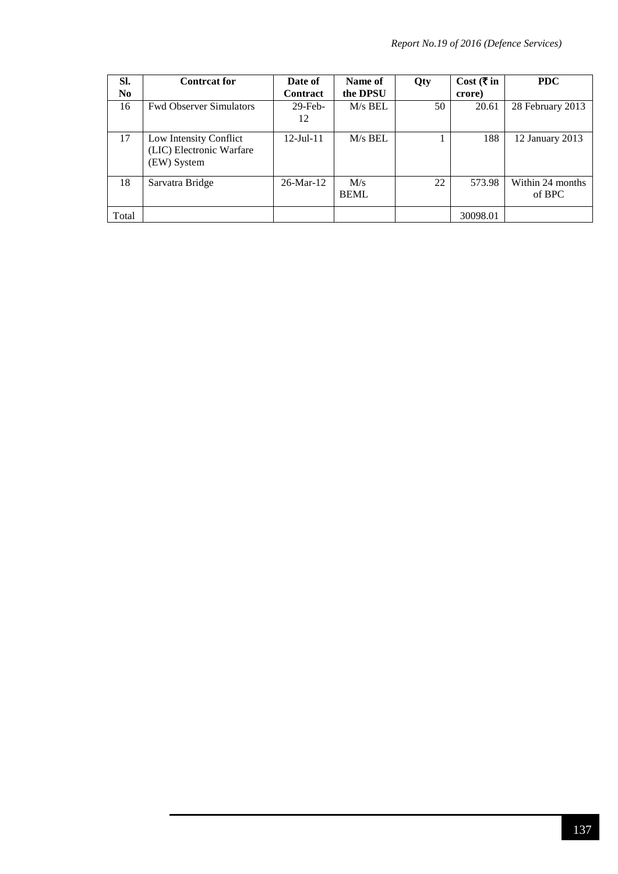| SI.            | <b>Contreat for</b>                                               | Date of          | Name of            | Qty | Cost (₹ in | <b>PDC</b>                 |
|----------------|-------------------------------------------------------------------|------------------|--------------------|-----|------------|----------------------------|
| N <sub>0</sub> |                                                                   | Contract         | the DPSU           |     | crore)     |                            |
| 16             | <b>Fwd Observer Simulators</b>                                    | $29$ -Feb-       | $M/s$ BEL          | 50  | 20.61      | 28 February 2013           |
|                |                                                                   | 12               |                    |     |            |                            |
| 17             | Low Intensity Conflict<br>(LIC) Electronic Warfare<br>(EW) System | $12 -$ Jul $-11$ | $M/s$ BEL          |     | 188        | 12 January 2013            |
| 18             | Sarvatra Bridge                                                   | $26$ -Mar-12     | M/s<br><b>BEML</b> | 22  | 573.98     | Within 24 months<br>of BPC |
| Total          |                                                                   |                  |                    |     | 30098.01   |                            |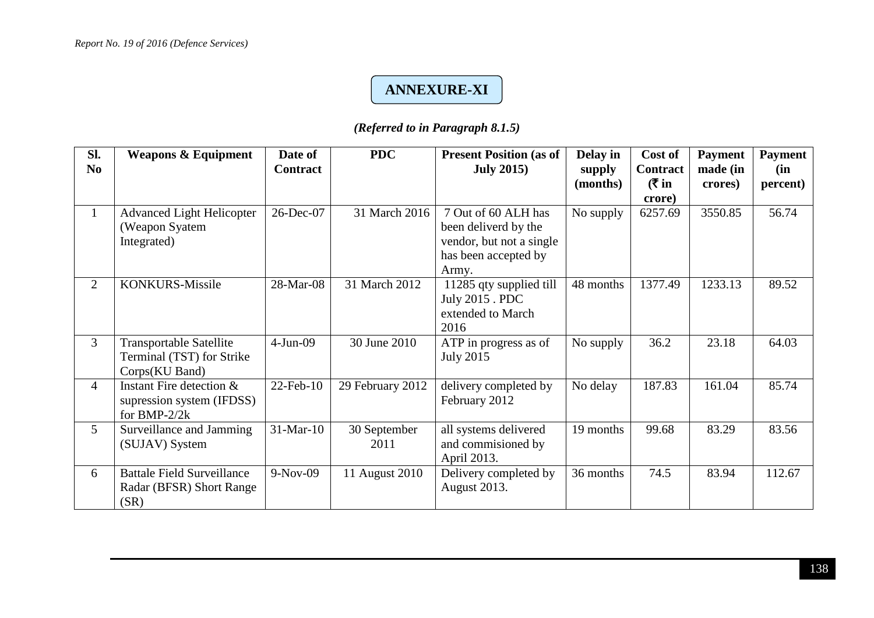## *.5* **ANNEXURE-XI**

### *(Referred to in Paragraph 8.1.5)*

| SI.            | <b>Weapons &amp; Equipment</b>    | Date of         | <b>PDC</b>       | <b>Present Position (as of</b> | Delay in  | Cost of         | <b>Payment</b> | <b>Payment</b> |
|----------------|-----------------------------------|-----------------|------------------|--------------------------------|-----------|-----------------|----------------|----------------|
| N <sub>0</sub> |                                   | <b>Contract</b> |                  | <b>July 2015</b> )             | supply    | <b>Contract</b> | made (in       | (in            |
|                |                                   |                 |                  |                                | (months)  | ( ₹ in          | crores)        | percent)       |
|                |                                   |                 |                  |                                |           | crore)          |                |                |
| $\mathbf{1}$   | <b>Advanced Light Helicopter</b>  | 26-Dec-07       | 31 March 2016    | 7 Out of 60 ALH has            | No supply | 6257.69         | 3550.85        | 56.74          |
|                | (Weapon Syatem                    |                 |                  | been deliverd by the           |           |                 |                |                |
|                | Integrated)                       |                 |                  | vendor, but not a single       |           |                 |                |                |
|                |                                   |                 |                  | has been accepted by           |           |                 |                |                |
|                |                                   |                 |                  | Army.                          |           |                 |                |                |
| $\overline{2}$ | KONKURS-Missile                   | 28-Mar-08       | 31 March 2012    | 11285 qty supplied till        | 48 months | 1377.49         | 1233.13        | 89.52          |
|                |                                   |                 |                  | July 2015 . PDC                |           |                 |                |                |
|                |                                   |                 |                  | extended to March              |           |                 |                |                |
|                |                                   |                 |                  | 2016                           |           |                 |                |                |
| 3              | <b>Transportable Satellite</b>    | $4-Jun-09$      | 30 June 2010     | ATP in progress as of          | No supply | 36.2            | 23.18          | 64.03          |
|                | Terminal (TST) for Strike         |                 |                  | <b>July 2015</b>               |           |                 |                |                |
|                | Corps(KU Band)                    |                 |                  |                                |           |                 |                |                |
| $\overline{4}$ | Instant Fire detection &          | $22$ -Feb-10    | 29 February 2012 | delivery completed by          | No delay  | 187.83          | 161.04         | 85.74          |
|                | supression system (IFDSS)         |                 |                  | February 2012                  |           |                 |                |                |
|                | for BMP- $2/2k$                   |                 |                  |                                |           |                 |                |                |
| 5              | Surveillance and Jamming          | $31$ -Mar-10    | 30 September     | all systems delivered          | 19 months | 99.68           | 83.29          | 83.56          |
|                | (SUJAV) System                    |                 | 2011             | and commisioned by             |           |                 |                |                |
|                |                                   |                 |                  | April 2013.                    |           |                 |                |                |
| 6              | <b>Battale Field Surveillance</b> | $9-Nov-09$      | 11 August 2010   | Delivery completed by          | 36 months | 74.5            | 83.94          | 112.67         |
|                | Radar (BFSR) Short Range          |                 |                  | August 2013.                   |           |                 |                |                |
|                | (SR)                              |                 |                  |                                |           |                 |                |                |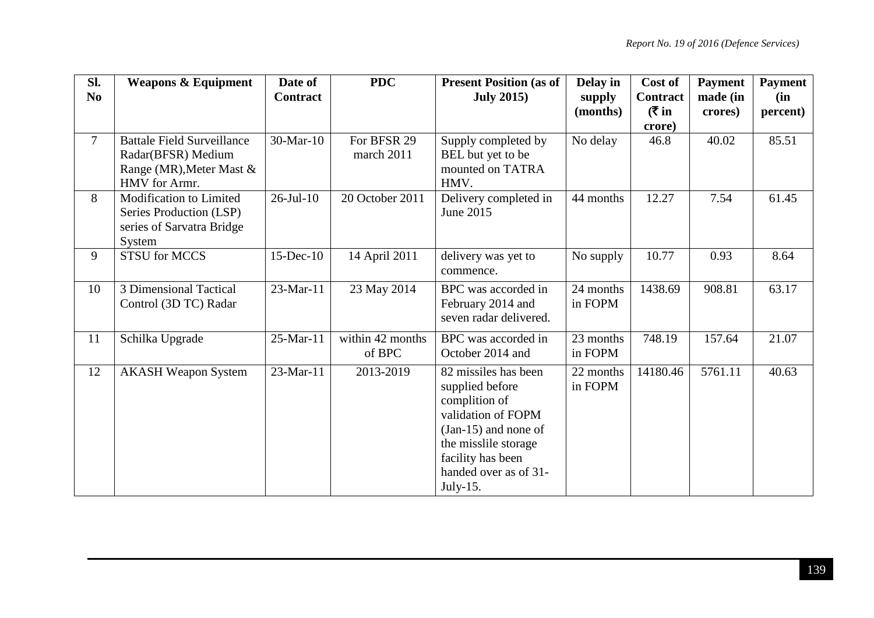| SI.<br>N <sub>0</sub> | <b>Weapons &amp; Equipment</b>                                                                       | Date of<br>Contract | <b>PDC</b>                 | <b>Present Position (as of</b><br><b>July 2015</b> )                                                                                                                                       | Delay in<br>supply   | Cost of<br><b>Contract</b> | <b>Payment</b><br>made (in | <b>Payment</b><br>(in |
|-----------------------|------------------------------------------------------------------------------------------------------|---------------------|----------------------------|--------------------------------------------------------------------------------------------------------------------------------------------------------------------------------------------|----------------------|----------------------------|----------------------------|-----------------------|
|                       |                                                                                                      |                     |                            |                                                                                                                                                                                            | (months)             | ( ₹ in<br>crore)           | crores)                    | percent)              |
| $\overline{7}$        | <b>Battale Field Surveillance</b><br>Radar(BFSR) Medium<br>Range (MR), Meter Mast &<br>HMV for Armr. | 30-Mar-10           | For BFSR 29<br>march 2011  | Supply completed by<br>BEL but yet to be<br>mounted on TATRA<br>HMV.                                                                                                                       | No delay             | 46.8                       | 40.02                      | 85.51                 |
| 8                     | Modification to Limited<br>Series Production (LSP)<br>series of Sarvatra Bridge<br>System            | $26$ -Jul-10        | 20 October 2011            | Delivery completed in<br>June 2015                                                                                                                                                         | 44 months            | 12.27                      | 7.54                       | 61.45                 |
| 9                     | <b>STSU</b> for MCCS                                                                                 | $15$ -Dec- $10$     | 14 April 2011              | delivery was yet to<br>commence.                                                                                                                                                           | No supply            | 10.77                      | 0.93                       | 8.64                  |
| 10                    | 3 Dimensional Tactical<br>Control (3D TC) Radar                                                      | 23-Mar-11           | 23 May 2014                | BPC was accorded in<br>February 2014 and<br>seven radar delivered.                                                                                                                         | 24 months<br>in FOPM | 1438.69                    | 908.81                     | 63.17                 |
| 11                    | Schilka Upgrade                                                                                      | 25-Mar-11           | within 42 months<br>of BPC | BPC was accorded in<br>October 2014 and                                                                                                                                                    | 23 months<br>in FOPM | 748.19                     | 157.64                     | 21.07                 |
| 12                    | <b>AKASH Weapon System</b>                                                                           | 23-Mar-11           | 2013-2019                  | 82 missiles has been<br>supplied before<br>complition of<br>validation of FOPM<br>$(Jan-15)$ and none of<br>the misslile storage<br>facility has been<br>handed over as of 31-<br>July-15. | 22 months<br>in FOPM | 14180.46                   | 5761.11                    | 40.63                 |